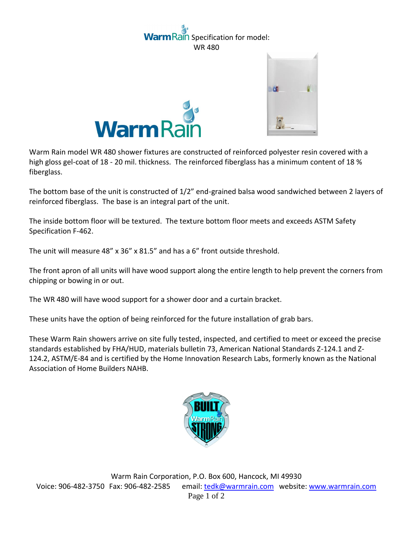## ain Specification for model: WR 480





Warm Rain model WR 480 shower fixtures are constructed of reinforced polyester resin covered with a high gloss gel-coat of 18 - 20 mil. thickness. The reinforced fiberglass has a minimum content of 18 % fiberglass.

The bottom base of the unit is constructed of 1/2" end-grained balsa wood sandwiched between 2 layers of reinforced fiberglass. The base is an integral part of the unit.

The inside bottom floor will be textured. The texture bottom floor meets and exceeds ASTM Safety Specification F-462.

The unit will measure 48" x 36" x 81.5" and has a 6" front outside threshold.

The front apron of all units will have wood support along the entire length to help prevent the corners from chipping or bowing in or out.

The WR 480 will have wood support for a shower door and a curtain bracket.

These units have the option of being reinforced for the future installation of grab bars.

These Warm Rain showers arrive on site fully tested, inspected, and certified to meet or exceed the precise standards established by FHA/HUD, materials bulletin 73, American National Standards Z-124.1 and Z-124.2, ASTM/E-84 and is certified by the Home Innovation Research Labs, formerly known as the National Association of Home Builders NAHB.